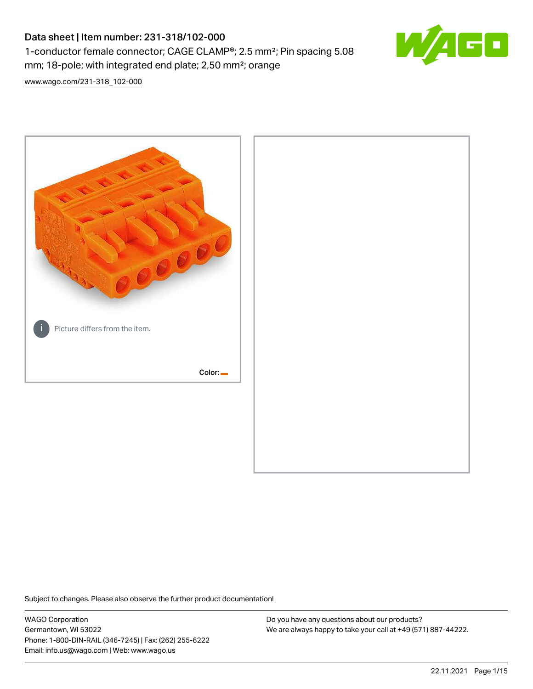# Data sheet | Item number: 231-318/102-000 1-conductor female connector; CAGE CLAMP®; 2.5 mm²; Pin spacing 5.08 mm; 18-pole; with integrated end plate; 2,50 mm²; orange



[www.wago.com/231-318\\_102-000](http://www.wago.com/231-318_102-000)



Subject to changes. Please also observe the further product documentation!

WAGO Corporation Germantown, WI 53022 Phone: 1-800-DIN-RAIL (346-7245) | Fax: (262) 255-6222 Email: info.us@wago.com | Web: www.wago.us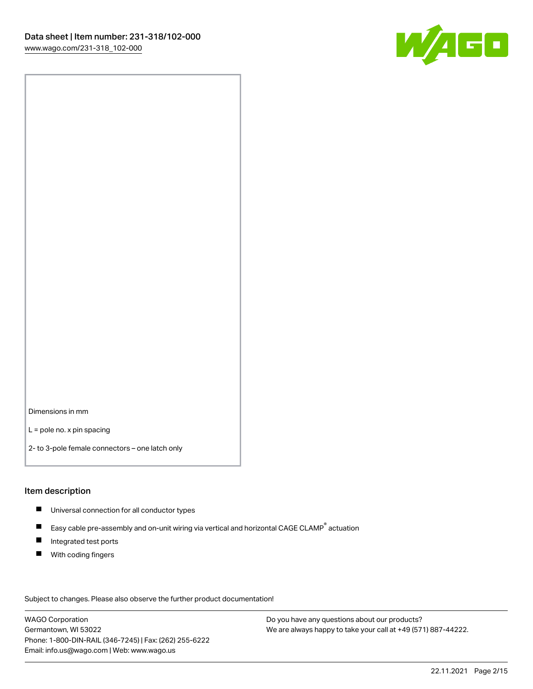

Dimensions in mm

L = pole no. x pin spacing

2- to 3-pole female connectors – one latch only

### Item description

- **Universal connection for all conductor types**
- Easy cable pre-assembly and on-unit wiring via vertical and horizontal CAGE CLAMP<sup>®</sup> actuation  $\blacksquare$
- $\blacksquare$ Integrated test ports
- $\blacksquare$ With coding fingers

Subject to changes. Please also observe the further product documentation! Data

WAGO Corporation Germantown, WI 53022 Phone: 1-800-DIN-RAIL (346-7245) | Fax: (262) 255-6222 Email: info.us@wago.com | Web: www.wago.us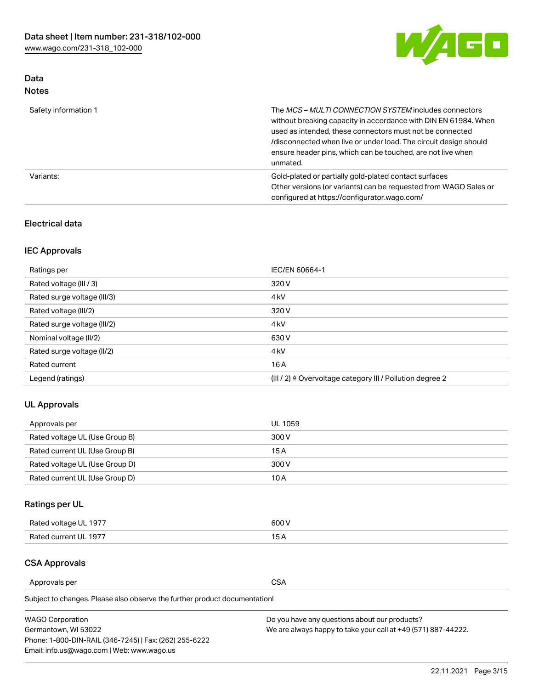

# Data Notes

| Safety information 1 | The <i>MCS – MULTI CONNECTION SYSTEM</i> includes connectors<br>without breaking capacity in accordance with DIN EN 61984. When<br>used as intended, these connectors must not be connected<br>/disconnected when live or under load. The circuit design should<br>ensure header pins, which can be touched, are not live when<br>unmated. |
|----------------------|--------------------------------------------------------------------------------------------------------------------------------------------------------------------------------------------------------------------------------------------------------------------------------------------------------------------------------------------|
| Variants:            | Gold-plated or partially gold-plated contact surfaces<br>Other versions (or variants) can be requested from WAGO Sales or<br>configured at https://configurator.wago.com/                                                                                                                                                                  |

# Electrical data

# IEC Approvals

| Ratings per                 | IEC/EN 60664-1                                                        |
|-----------------------------|-----------------------------------------------------------------------|
| Rated voltage (III / 3)     | 320 V                                                                 |
| Rated surge voltage (III/3) | 4 <sub>k</sub> V                                                      |
| Rated voltage (III/2)       | 320 V                                                                 |
| Rated surge voltage (III/2) | 4 <sub>k</sub> V                                                      |
| Nominal voltage (II/2)      | 630 V                                                                 |
| Rated surge voltage (II/2)  | 4 <sub>k</sub> V                                                      |
| Rated current               | 16A                                                                   |
| Legend (ratings)            | $(III / 2)$ $\triangle$ Overvoltage category III / Pollution degree 2 |

# UL Approvals

| Approvals per                  | UL 1059 |
|--------------------------------|---------|
| Rated voltage UL (Use Group B) | 300 V   |
| Rated current UL (Use Group B) | 15 A    |
| Rated voltage UL (Use Group D) | 300 V   |
| Rated current UL (Use Group D) | 10 A    |

# Ratings per UL

| Rated voltage UL 1977 | 600 V         |
|-----------------------|---------------|
| Rated current UL 1977 | $\sim$ $\sim$ |

# CSA Approvals

Approvals per CSA

Subject to changes. Please also observe the further product documentation!

| <b>WAGO Corporation</b>                                | Do you have any questions about our products?                 |
|--------------------------------------------------------|---------------------------------------------------------------|
| Germantown, WI 53022                                   | We are always happy to take your call at +49 (571) 887-44222. |
| Phone: 1-800-DIN-RAIL (346-7245)   Fax: (262) 255-6222 |                                                               |
| Email: info.us@wago.com   Web: www.wago.us             |                                                               |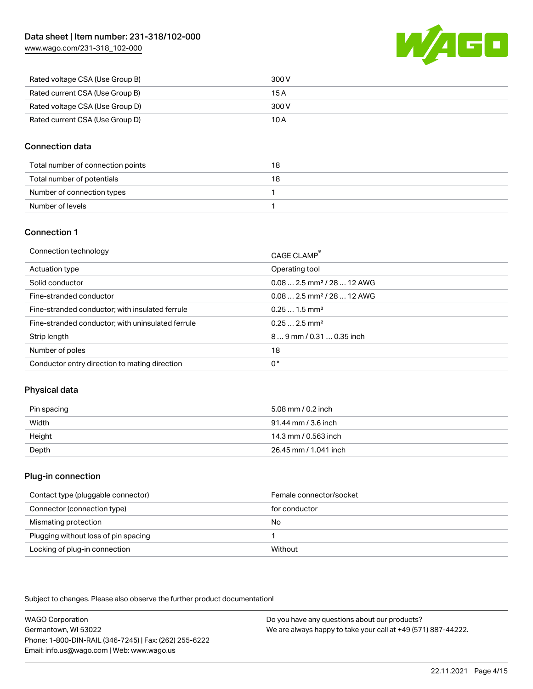[www.wago.com/231-318\\_102-000](http://www.wago.com/231-318_102-000)



| Rated voltage CSA (Use Group B) | 300 V |
|---------------------------------|-------|
| Rated current CSA (Use Group B) | 15 A  |
| Rated voltage CSA (Use Group D) | 300 V |
| Rated current CSA (Use Group D) | 10 A  |

### Connection data

| Total number of connection points | 18 |
|-----------------------------------|----|
| Total number of potentials        | 18 |
| Number of connection types        |    |
| Number of levels                  |    |

### Connection 1

| Connection technology                             | CAGE CLAMP®                             |
|---------------------------------------------------|-----------------------------------------|
| Actuation type                                    | Operating tool                          |
| Solid conductor                                   | $0.082.5$ mm <sup>2</sup> / 28  12 AWG  |
| Fine-stranded conductor                           | $0.08$ 2.5 mm <sup>2</sup> / 28  12 AWG |
| Fine-stranded conductor; with insulated ferrule   | $0.251.5$ mm <sup>2</sup>               |
| Fine-stranded conductor; with uninsulated ferrule | $0.252.5$ mm <sup>2</sup>               |
| Strip length                                      | $89$ mm $/ 0.310.35$ inch               |
| Number of poles                                   | 18                                      |
| Conductor entry direction to mating direction     | 0°                                      |

# Physical data

| Pin spacing | 5.08 mm / 0.2 inch    |
|-------------|-----------------------|
| Width       | 91.44 mm / 3.6 inch   |
| Height      | 14.3 mm / 0.563 inch  |
| Depth       | 26.45 mm / 1.041 inch |

### Plug-in connection

| Contact type (pluggable connector)   | Female connector/socket |
|--------------------------------------|-------------------------|
| Connector (connection type)          | for conductor           |
| Mismating protection                 | No                      |
| Plugging without loss of pin spacing |                         |
| Locking of plug-in connection        | Without                 |

Subject to changes. Please also observe the further product documentation!

WAGO Corporation Germantown, WI 53022 Phone: 1-800-DIN-RAIL (346-7245) | Fax: (262) 255-6222 Email: info.us@wago.com | Web: www.wago.us Do you have any questions about our products? We are always happy to take your call at +49 (571) 887-44222.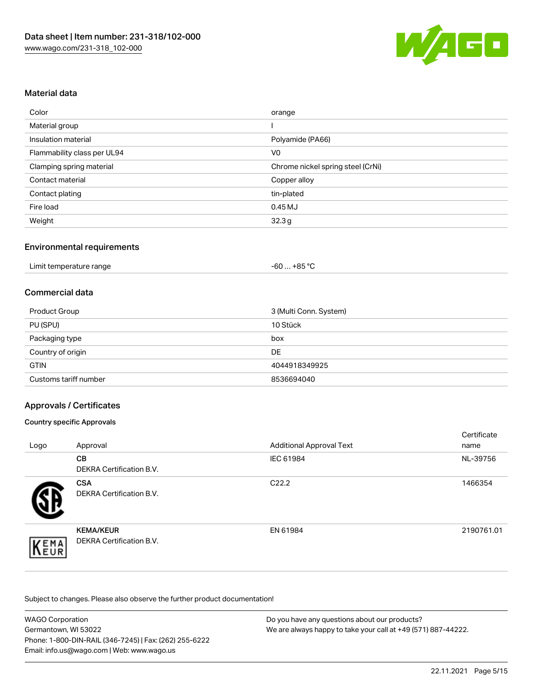

### Material data

| Color                       | orange                            |
|-----------------------------|-----------------------------------|
| Material group              |                                   |
| Insulation material         | Polyamide (PA66)                  |
| Flammability class per UL94 | V <sub>0</sub>                    |
| Clamping spring material    | Chrome nickel spring steel (CrNi) |
| Contact material            | Copper alloy                      |
| Contact plating             | tin-plated                        |
| Fire load                   | 0.45MJ                            |
| Weight                      | 32.3g                             |

### Environmental requirements

| Limit temperature range | . +85 ℃<br>-60 |  |
|-------------------------|----------------|--|
|-------------------------|----------------|--|

### Commercial data

| 3 (Multi Conn. System)<br>Product Group |               |  |
|-----------------------------------------|---------------|--|
| PU (SPU)                                | 10 Stück      |  |
| Packaging type                          | box           |  |
| Country of origin                       | DE            |  |
| <b>GTIN</b>                             | 4044918349925 |  |
| Customs tariff number                   | 8536694040    |  |

### Approvals / Certificates

### Country specific Approvals

| Logo | Approval                                            | <b>Additional Approval Text</b> | Certificate<br>name |
|------|-----------------------------------------------------|---------------------------------|---------------------|
|      | <b>CB</b><br><b>DEKRA Certification B.V.</b>        | IEC 61984                       | NL-39756            |
|      | <b>CSA</b><br>DEKRA Certification B.V.              | C <sub>22.2</sub>               | 1466354             |
| EMA  | <b>KEMA/KEUR</b><br><b>DEKRA Certification B.V.</b> | EN 61984                        | 2190761.01          |

Subject to changes. Please also observe the further product documentation!

| <b>WAGO Corporation</b>                                | Do you have any questions about our products?                 |
|--------------------------------------------------------|---------------------------------------------------------------|
| Germantown. WI 53022                                   | We are always happy to take your call at +49 (571) 887-44222. |
| Phone: 1-800-DIN-RAIL (346-7245)   Fax: (262) 255-6222 |                                                               |
| Email: info.us@wago.com   Web: www.wago.us             |                                                               |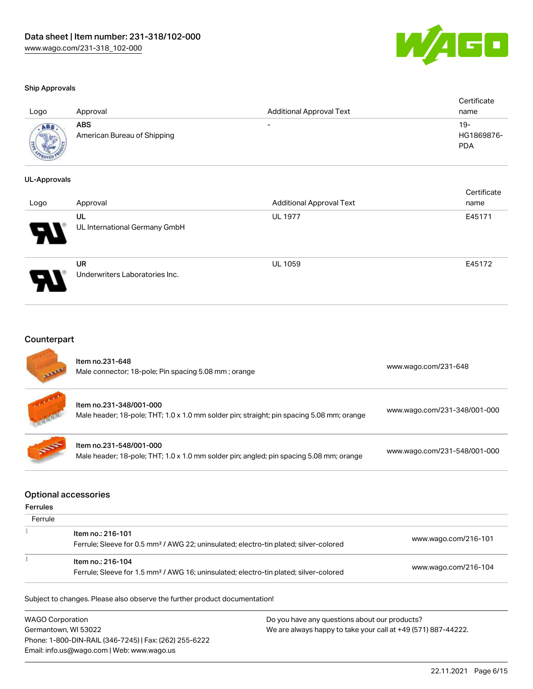

Certificate Corp.

#### Ship Approvals

| Logo | Approval                                  | <b>Additional Approval Text</b> | Certificate<br>name             |
|------|-------------------------------------------|---------------------------------|---------------------------------|
|      | <b>ABS</b><br>American Bureau of Shipping | $\overline{\phantom{0}}$        | 19-<br>HG1869876-<br><b>PDA</b> |

#### UL-Approvals

| Logo | Approval                             | <b>Additional Approval Text</b> | Certificate<br>name |
|------|--------------------------------------|---------------------------------|---------------------|
| 8    | UL<br>UL International Germany GmbH  | <b>UL 1977</b>                  | E45171              |
|      | UR<br>Underwriters Laboratories Inc. | <b>UL 1059</b>                  | E45172              |

### Counterpart

| <b>ATAB</b> | Item no.231-648<br>Male connector; 18-pole; Pin spacing 5.08 mm; orange                                              | www.wago.com/231-648         |
|-------------|----------------------------------------------------------------------------------------------------------------------|------------------------------|
|             | Item no.231-348/001-000<br>Male header; 18-pole; THT; 1.0 x 1.0 mm solder pin; straight; pin spacing 5.08 mm; orange | www.wago.com/231-348/001-000 |
| <b>SEPT</b> | Item no.231-548/001-000<br>Male header; 18-pole; THT; 1.0 x 1.0 mm solder pin; angled; pin spacing 5.08 mm; orange   | www.wago.com/231-548/001-000 |

### Optional accessories

### Ferrules

| Ferrule |                                                                                                                        |                      |
|---------|------------------------------------------------------------------------------------------------------------------------|----------------------|
|         | ltem no.: 216-101<br>Ferrule; Sleeve for 0.5 mm <sup>2</sup> / AWG 22; uninsulated; electro-tin plated; silver-colored | www.wago.com/216-101 |
|         | ltem no.: 216-104<br>Ferrule; Sleeve for 1.5 mm <sup>2</sup> / AWG 16; uninsulated; electro-tin plated; silver-colored | www.wago.com/216-104 |

Subject to changes. Please also observe the further product documentation!

WAGO Corporation Germantown, WI 53022 Phone: 1-800-DIN-RAIL (346-7245) | Fax: (262) 255-6222 Email: info.us@wago.com | Web: www.wago.us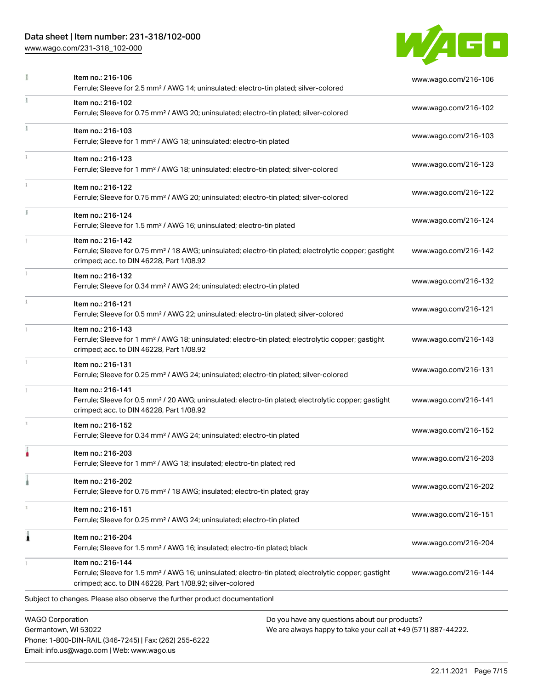# Data sheet | Item number: 231-318/102-000

Phone: 1-800-DIN-RAIL (346-7245) | Fax: (262) 255-6222

Email: info.us@wago.com | Web: www.wago.us

[www.wago.com/231-318\\_102-000](http://www.wago.com/231-318_102-000)



|                         | Item no.: 216-106<br>Ferrule; Sleeve for 2.5 mm <sup>2</sup> / AWG 14; uninsulated; electro-tin plated; silver-colored                                                                            |                                                                                                                | www.wago.com/216-106 |
|-------------------------|---------------------------------------------------------------------------------------------------------------------------------------------------------------------------------------------------|----------------------------------------------------------------------------------------------------------------|----------------------|
|                         | Item no.: 216-102<br>Ferrule; Sleeve for 0.75 mm <sup>2</sup> / AWG 20; uninsulated; electro-tin plated; silver-colored                                                                           |                                                                                                                | www.wago.com/216-102 |
|                         | Item no.: 216-103<br>Ferrule; Sleeve for 1 mm <sup>2</sup> / AWG 18; uninsulated; electro-tin plated                                                                                              |                                                                                                                | www.wago.com/216-103 |
|                         | Item no.: 216-123<br>Ferrule; Sleeve for 1 mm <sup>2</sup> / AWG 18; uninsulated; electro-tin plated; silver-colored                                                                              |                                                                                                                | www.wago.com/216-123 |
|                         | Item no.: 216-122<br>Ferrule; Sleeve for 0.75 mm <sup>2</sup> / AWG 20; uninsulated; electro-tin plated; silver-colored                                                                           |                                                                                                                | www.wago.com/216-122 |
|                         | Item no.: 216-124<br>Ferrule; Sleeve for 1.5 mm <sup>2</sup> / AWG 16; uninsulated; electro-tin plated                                                                                            |                                                                                                                | www.wago.com/216-124 |
|                         | Item no.: 216-142<br>Ferrule; Sleeve for 0.75 mm <sup>2</sup> / 18 AWG; uninsulated; electro-tin plated; electrolytic copper; gastight<br>crimped; acc. to DIN 46228, Part 1/08.92                |                                                                                                                | www.wago.com/216-142 |
|                         | Item no.: 216-132<br>Ferrule; Sleeve for 0.34 mm <sup>2</sup> / AWG 24; uninsulated; electro-tin plated                                                                                           |                                                                                                                | www.wago.com/216-132 |
| $\frac{1}{3}$           | Item no.: 216-121<br>Ferrule; Sleeve for 0.5 mm <sup>2</sup> / AWG 22; uninsulated; electro-tin plated; silver-colored                                                                            |                                                                                                                | www.wago.com/216-121 |
|                         | Item no.: 216-143<br>Ferrule; Sleeve for 1 mm <sup>2</sup> / AWG 18; uninsulated; electro-tin plated; electrolytic copper; gastight<br>crimped; acc. to DIN 46228, Part 1/08.92                   |                                                                                                                | www.wago.com/216-143 |
|                         | Item no.: 216-131<br>Ferrule; Sleeve for 0.25 mm <sup>2</sup> / AWG 24; uninsulated; electro-tin plated; silver-colored                                                                           |                                                                                                                | www.wago.com/216-131 |
|                         | Item no.: 216-141<br>Ferrule; Sleeve for 0.5 mm <sup>2</sup> / 20 AWG; uninsulated; electro-tin plated; electrolytic copper; gastight<br>crimped; acc. to DIN 46228, Part 1/08.92                 |                                                                                                                | www.wago.com/216-141 |
|                         | Item no.: 216-152<br>Ferrule; Sleeve for 0.34 mm <sup>2</sup> / AWG 24; uninsulated; electro-tin plated                                                                                           |                                                                                                                | www.wago.com/216-152 |
|                         | Item no.: 216-203<br>Ferrule; Sleeve for 1 mm <sup>2</sup> / AWG 18; insulated; electro-tin plated; red                                                                                           |                                                                                                                | www.wago.com/216-203 |
|                         | Item no.: 216-202<br>Ferrule; Sleeve for 0.75 mm <sup>2</sup> / 18 AWG; insulated; electro-tin plated; gray                                                                                       |                                                                                                                | www.wago.com/216-202 |
|                         | Item no.: 216-151<br>Ferrule; Sleeve for 0.25 mm <sup>2</sup> / AWG 24; uninsulated; electro-tin plated                                                                                           |                                                                                                                | www.wago.com/216-151 |
| 1                       | Item no.: 216-204<br>Ferrule; Sleeve for 1.5 mm <sup>2</sup> / AWG 16; insulated; electro-tin plated; black                                                                                       |                                                                                                                | www.wago.com/216-204 |
|                         | Item no.: 216-144<br>Ferrule; Sleeve for 1.5 mm <sup>2</sup> / AWG 16; uninsulated; electro-tin plated; electrolytic copper; gastight<br>crimped; acc. to DIN 46228, Part 1/08.92; silver-colored |                                                                                                                | www.wago.com/216-144 |
|                         | Subject to changes. Please also observe the further product documentation!                                                                                                                        |                                                                                                                |                      |
| <b>WAGO Corporation</b> | Germantown, WI 53022                                                                                                                                                                              | Do you have any questions about our products?<br>We are always happy to take your call at +49 (571) 887-44222. |                      |

22.11.2021 Page 7/15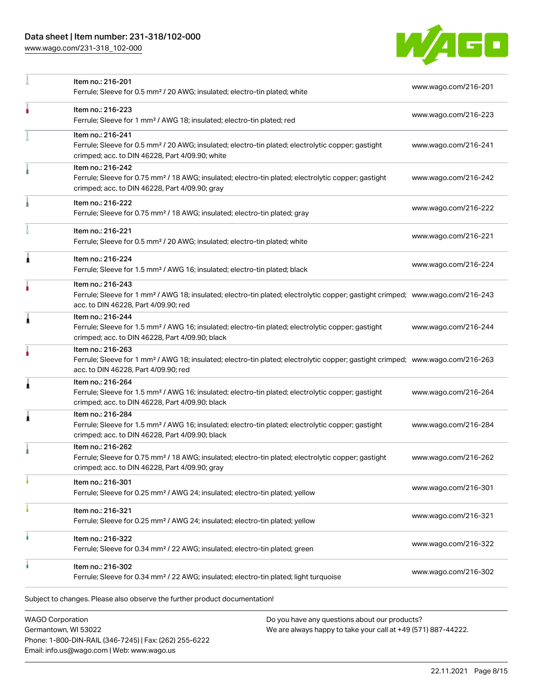# Data sheet | Item number: 231-318/102-000

[www.wago.com/231-318\\_102-000](http://www.wago.com/231-318_102-000)



|   | Item no.: 216-201<br>Ferrule; Sleeve for 0.5 mm <sup>2</sup> / 20 AWG; insulated; electro-tin plated; white                                                                                             | www.wago.com/216-201 |
|---|---------------------------------------------------------------------------------------------------------------------------------------------------------------------------------------------------------|----------------------|
|   | Item no.: 216-223<br>Ferrule; Sleeve for 1 mm <sup>2</sup> / AWG 18; insulated; electro-tin plated; red                                                                                                 | www.wago.com/216-223 |
|   | Item no.: 216-241<br>Ferrule; Sleeve for 0.5 mm <sup>2</sup> / 20 AWG; insulated; electro-tin plated; electrolytic copper; gastight<br>crimped; acc. to DIN 46228, Part 4/09.90; white                  | www.wago.com/216-241 |
|   | Item no.: 216-242<br>Ferrule; Sleeve for 0.75 mm <sup>2</sup> / 18 AWG; insulated; electro-tin plated; electrolytic copper; gastight<br>crimped; acc. to DIN 46228, Part 4/09.90; gray                  | www.wago.com/216-242 |
|   | Item no.: 216-222<br>Ferrule; Sleeve for 0.75 mm <sup>2</sup> / 18 AWG; insulated; electro-tin plated; gray                                                                                             | www.wago.com/216-222 |
|   | Item no.: 216-221<br>Ferrule; Sleeve for 0.5 mm <sup>2</sup> / 20 AWG; insulated; electro-tin plated; white                                                                                             | www.wago.com/216-221 |
| ٨ | Item no.: 216-224<br>Ferrule; Sleeve for 1.5 mm <sup>2</sup> / AWG 16; insulated; electro-tin plated; black                                                                                             | www.wago.com/216-224 |
|   | Item no.: 216-243<br>Ferrule; Sleeve for 1 mm <sup>2</sup> / AWG 18; insulated; electro-tin plated; electrolytic copper; gastight crimped; www.wago.com/216-243<br>acc. to DIN 46228, Part 4/09.90; red |                      |
| Â | Item no.: 216-244<br>Ferrule; Sleeve for 1.5 mm <sup>2</sup> / AWG 16; insulated; electro-tin plated; electrolytic copper; gastight<br>crimped; acc. to DIN 46228, Part 4/09.90; black                  | www.wago.com/216-244 |
|   | Item no.: 216-263<br>Ferrule; Sleeve for 1 mm <sup>2</sup> / AWG 18; insulated; electro-tin plated; electrolytic copper; gastight crimped; www.wago.com/216-263<br>acc. to DIN 46228, Part 4/09.90; red |                      |
| 1 | Item no.: 216-264<br>Ferrule; Sleeve for 1.5 mm <sup>2</sup> / AWG 16; insulated; electro-tin plated; electrolytic copper; gastight<br>crimped; acc. to DIN 46228, Part 4/09.90; black                  | www.wago.com/216-264 |
| 1 | Item no.: 216-284<br>Ferrule; Sleeve for 1.5 mm <sup>2</sup> / AWG 16; insulated; electro-tin plated; electrolytic copper; gastight<br>crimped; acc. to DIN 46228, Part 4/09.90; black                  | www.wago.com/216-284 |
|   | Item no.: 216-262<br>Ferrule; Sleeve for 0.75 mm <sup>2</sup> / 18 AWG; insulated; electro-tin plated; electrolytic copper; gastight<br>crimped; acc. to DIN 46228, Part 4/09.90; gray                  | www.wago.com/216-262 |
|   | Item no.: 216-301<br>Ferrule; Sleeve for 0.25 mm <sup>2</sup> / AWG 24; insulated; electro-tin plated; yellow                                                                                           | www.wago.com/216-301 |
|   | Item no.: 216-321<br>Ferrule; Sleeve for 0.25 mm <sup>2</sup> / AWG 24; insulated; electro-tin plated; yellow                                                                                           | www.wago.com/216-321 |
| ٠ | Item no.: 216-322<br>Ferrule; Sleeve for 0.34 mm <sup>2</sup> / 22 AWG; insulated; electro-tin plated; green                                                                                            | www.wago.com/216-322 |
|   | Item no.: 216-302<br>Ferrule; Sleeve for 0.34 mm <sup>2</sup> / 22 AWG; insulated; electro-tin plated; light turquoise                                                                                  | www.wago.com/216-302 |
|   | Subject to changes. Please also observe the further product documentation!                                                                                                                              |                      |

WAGO Corporation Germantown, WI 53022 Phone: 1-800-DIN-RAIL (346-7245) | Fax: (262) 255-6222 Email: info.us@wago.com | Web: www.wago.us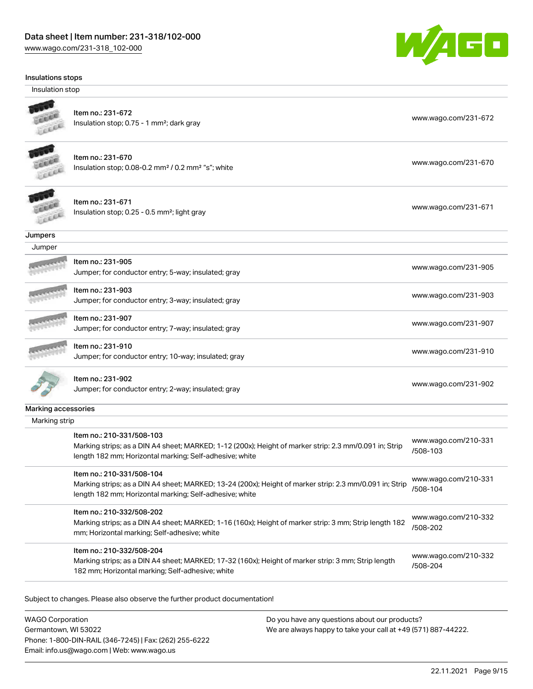[www.wago.com/231-318\\_102-000](http://www.wago.com/231-318_102-000)



#### Insulations stops

Insulation stop



# Item no.: 231-672

Insulation stop; 0.75 - 1 mm<sup>2</sup>; dark gray [www.wago.com/231-672](http://www.wago.com/231-672) www.wago.com/231-672



### Item no.: 231-670

Insulation stop; 0.08-0.2 mm<sup>2</sup> / 0.2 mm<sup>2</sup> "s"; white [www.wago.com/231-670](http://www.wago.com/231-670) www.wago.com/231-670



Item no.: 231-671 Item ito... 231-071<br>Insulation stop; 0.25 - 0.5 mm²; light gray [www.wago.com/231-671](http://www.wago.com/231-671)

### **Jumpers**

| Jumper |                                                                           |                      |
|--------|---------------------------------------------------------------------------|----------------------|
|        | Item no.: 231-905<br>Jumper; for conductor entry; 5-way; insulated; gray  | www.wago.com/231-905 |
|        | Item no.: 231-903<br>Jumper; for conductor entry; 3-way; insulated; gray  | www.wago.com/231-903 |
|        | Item no.: 231-907<br>Jumper; for conductor entry; 7-way; insulated; gray  | www.wago.com/231-907 |
|        | Item no.: 231-910<br>Jumper; for conductor entry; 10-way; insulated; gray | www.wago.com/231-910 |
|        | Item no.: 231-902<br>Jumper; for conductor entry; 2-way; insulated; gray  | www.wago.com/231-902 |

#### Marking accessories

| Marking strip                                                                                                                                                                                   |                                  |
|-------------------------------------------------------------------------------------------------------------------------------------------------------------------------------------------------|----------------------------------|
| Item no.: 210-331/508-103<br>Marking strips; as a DIN A4 sheet; MARKED; 1-12 (200x); Height of marker strip: 2.3 mm/0.091 in; Strip<br>length 182 mm; Horizontal marking; Self-adhesive; white  | www.wago.com/210-331<br>/508-103 |
| Item no.: 210-331/508-104<br>Marking strips; as a DIN A4 sheet; MARKED; 13-24 (200x); Height of marker strip: 2.3 mm/0.091 in; Strip<br>length 182 mm; Horizontal marking; Self-adhesive; white | www.wago.com/210-331<br>/508-104 |
| Item no.: 210-332/508-202<br>Marking strips; as a DIN A4 sheet; MARKED; 1-16 (160x); Height of marker strip: 3 mm; Strip length 182<br>mm; Horizontal marking; Self-adhesive; white             | www.wago.com/210-332<br>/508-202 |
| Item no.: 210-332/508-204<br>Marking strips; as a DIN A4 sheet; MARKED; 17-32 (160x); Height of marker strip: 3 mm; Strip length<br>182 mm; Horizontal marking; Self-adhesive; white            | www.wago.com/210-332<br>/508-204 |

Subject to changes. Please also observe the further product documentation!

WAGO Corporation Germantown, WI 53022 Phone: 1-800-DIN-RAIL (346-7245) | Fax: (262) 255-6222 Email: info.us@wago.com | Web: www.wago.us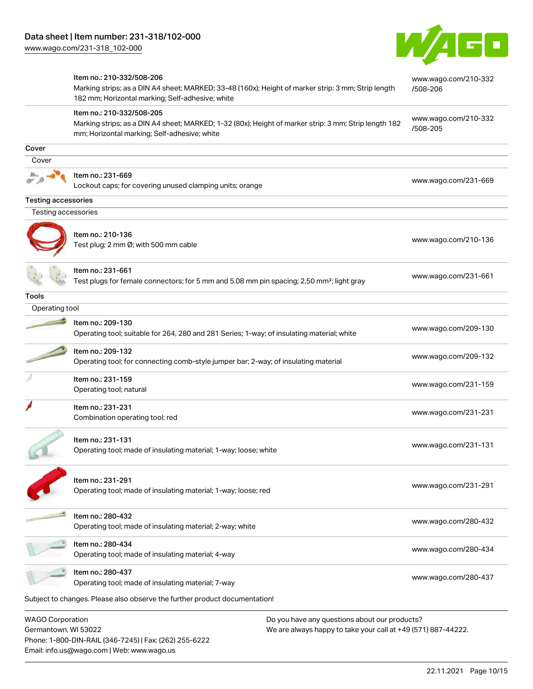Email: info.us@wago.com | Web: www.wago.us



|                                                 | Item no.: 210-332/508-206<br>Marking strips; as a DIN A4 sheet; MARKED; 33-48 (160x); Height of marker strip: 3 mm; Strip length<br>182 mm; Horizontal marking; Self-adhesive; white |                                                                                                                | www.wago.com/210-332<br>/508-206 |
|-------------------------------------------------|--------------------------------------------------------------------------------------------------------------------------------------------------------------------------------------|----------------------------------------------------------------------------------------------------------------|----------------------------------|
|                                                 | Item no.: 210-332/508-205<br>Marking strips; as a DIN A4 sheet; MARKED; 1-32 (80x); Height of marker strip: 3 mm; Strip length 182<br>mm; Horizontal marking; Self-adhesive; white   |                                                                                                                | www.wago.com/210-332<br>/508-205 |
| Cover                                           |                                                                                                                                                                                      |                                                                                                                |                                  |
| Cover                                           |                                                                                                                                                                                      |                                                                                                                |                                  |
|                                                 | Item no.: 231-669<br>Lockout caps; for covering unused clamping units; orange                                                                                                        |                                                                                                                | www.wago.com/231-669             |
| <b>Testing accessories</b>                      |                                                                                                                                                                                      |                                                                                                                |                                  |
| Testing accessories                             |                                                                                                                                                                                      |                                                                                                                |                                  |
|                                                 | Item no.: 210-136<br>Test plug; 2 mm Ø; with 500 mm cable                                                                                                                            |                                                                                                                | www.wago.com/210-136             |
|                                                 | Item no.: 231-661<br>Test plugs for female connectors; for 5 mm and 5.08 mm pin spacing; 2,50 mm <sup>2</sup> ; light gray                                                           |                                                                                                                | www.wago.com/231-661             |
| Tools                                           |                                                                                                                                                                                      |                                                                                                                |                                  |
| Operating tool                                  |                                                                                                                                                                                      |                                                                                                                |                                  |
|                                                 | Item no.: 209-130<br>Operating tool; suitable for 264, 280 and 281 Series; 1-way; of insulating material; white                                                                      |                                                                                                                | www.wago.com/209-130             |
|                                                 | Item no.: 209-132<br>Operating tool; for connecting comb-style jumper bar; 2-way; of insulating material                                                                             |                                                                                                                | www.wago.com/209-132             |
|                                                 | Item no.: 231-159<br>Operating tool; natural                                                                                                                                         |                                                                                                                | www.wago.com/231-159             |
|                                                 | Item no.: 231-231<br>Combination operating tool; red                                                                                                                                 |                                                                                                                | www.wago.com/231-231             |
|                                                 | Item no.: 231-131<br>Operating tool; made of insulating material; 1-way; loose; white                                                                                                |                                                                                                                | www.wago.com/231-131             |
|                                                 | Item no.: 231-291<br>Operating tool; made of insulating material; 1-way; loose; red                                                                                                  |                                                                                                                | www.wago.com/231-291             |
|                                                 | Item no.: 280-432<br>Operating tool; made of insulating material; 2-way; white                                                                                                       |                                                                                                                | www.wago.com/280-432             |
|                                                 | Item no.: 280-434<br>Operating tool; made of insulating material; 4-way                                                                                                              |                                                                                                                | www.wago.com/280-434             |
|                                                 | Item no.: 280-437<br>Operating tool; made of insulating material; 7-way                                                                                                              |                                                                                                                | www.wago.com/280-437             |
|                                                 | Subject to changes. Please also observe the further product documentation!                                                                                                           |                                                                                                                |                                  |
| <b>WAGO Corporation</b><br>Germantown, WI 53022 | Phone: 1-800-DIN-RAIL (346-7245)   Fax: (262) 255-6222                                                                                                                               | Do you have any questions about our products?<br>We are always happy to take your call at +49 (571) 887-44222. |                                  |

22.11.2021 Page 10/15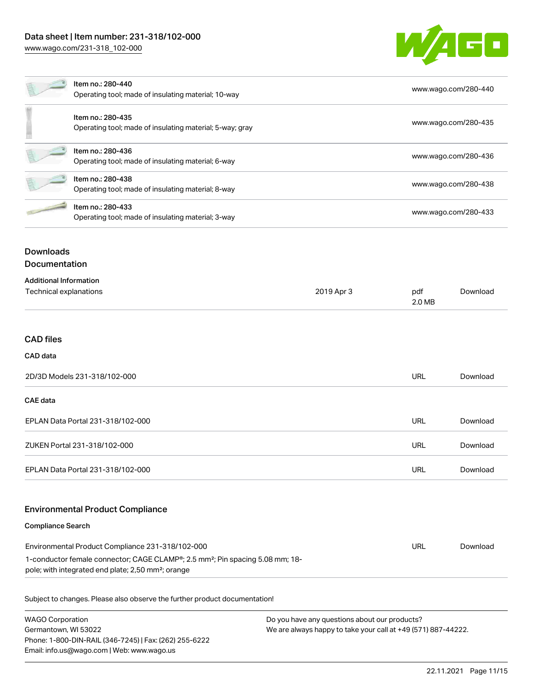

| Item no.: 280-440<br>Operating tool; made of insulating material; 10-way                                                                                                                                        |                                                                               | www.wago.com/280-440 |                      |                      |
|-----------------------------------------------------------------------------------------------------------------------------------------------------------------------------------------------------------------|-------------------------------------------------------------------------------|----------------------|----------------------|----------------------|
|                                                                                                                                                                                                                 | Item no.: 280-435<br>Operating tool; made of insulating material; 5-way; gray |                      |                      | www.wago.com/280-435 |
| Item no.: 280-436<br>Operating tool; made of insulating material; 6-way                                                                                                                                         |                                                                               | www.wago.com/280-436 |                      |                      |
| Item no.: 280-438<br>Operating tool; made of insulating material; 8-way                                                                                                                                         |                                                                               |                      | www.wago.com/280-438 |                      |
| Item no.: 280-433<br>Operating tool; made of insulating material; 3-way                                                                                                                                         |                                                                               |                      | www.wago.com/280-433 |                      |
| <b>Downloads</b><br><b>Documentation</b>                                                                                                                                                                        |                                                                               |                      |                      |                      |
| <b>Additional Information</b><br>Technical explanations                                                                                                                                                         |                                                                               | 2019 Apr 3           | pdf<br>2.0 MB        | Download             |
| <b>CAD files</b>                                                                                                                                                                                                |                                                                               |                      |                      |                      |
| <b>CAD</b> data                                                                                                                                                                                                 |                                                                               |                      |                      |                      |
| 2D/3D Models 231-318/102-000                                                                                                                                                                                    |                                                                               |                      | <b>URL</b>           | Download             |
| <b>CAE data</b>                                                                                                                                                                                                 |                                                                               |                      |                      |                      |
| EPLAN Data Portal 231-318/102-000                                                                                                                                                                               |                                                                               |                      | URL                  | Download             |
| ZUKEN Portal 231-318/102-000                                                                                                                                                                                    |                                                                               |                      | URL                  | Download             |
| EPLAN Data Portal 231-318/102-000                                                                                                                                                                               |                                                                               |                      | <b>URL</b>           | Download             |
|                                                                                                                                                                                                                 | <b>Environmental Product Compliance</b>                                       |                      |                      |                      |
| <b>Compliance Search</b>                                                                                                                                                                                        |                                                                               |                      |                      |                      |
| Environmental Product Compliance 231-318/102-000<br>1-conductor female connector; CAGE CLAMP®; 2.5 mm <sup>2</sup> ; Pin spacing 5.08 mm; 18-<br>pole; with integrated end plate; 2,50 mm <sup>2</sup> ; orange |                                                                               |                      | <b>URL</b>           | Download             |

Subject to changes. Please also observe the further product documentation!

| <b>WAGO Corporation</b>                                | Do you have any questions about our products?                 |  |  |
|--------------------------------------------------------|---------------------------------------------------------------|--|--|
| Germantown, WI 53022                                   | We are always happy to take your call at +49 (571) 887-44222. |  |  |
| Phone: 1-800-DIN-RAIL (346-7245)   Fax: (262) 255-6222 |                                                               |  |  |
| Email: info.us@wago.com   Web: www.wago.us             |                                                               |  |  |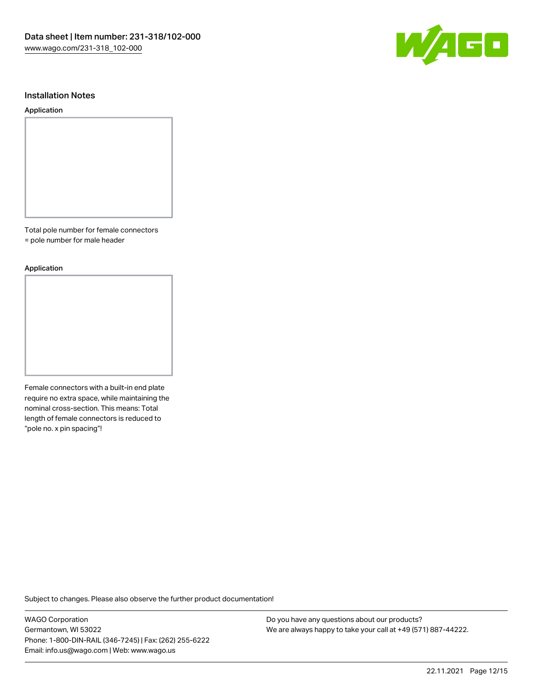

### Installation Notes

#### Application

Total pole number for female connectors

= pole number for male header

#### Application

Female connectors with a built-in end plate require no extra space, while maintaining the nominal cross-section. This means: Total length of female connectors is reduced to "pole no. x pin spacing"!

Subject to changes. Please also observe the further product documentation!

WAGO Corporation Germantown, WI 53022 Phone: 1-800-DIN-RAIL (346-7245) | Fax: (262) 255-6222 Email: info.us@wago.com | Web: www.wago.us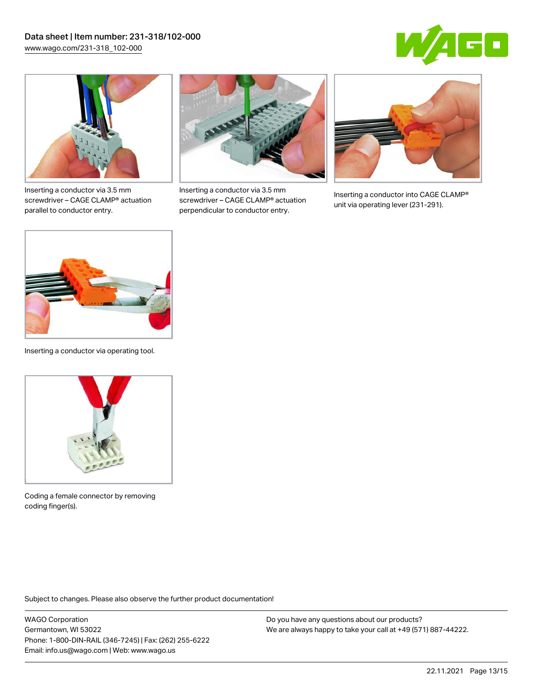



Inserting a conductor via 3.5 mm screwdriver – CAGE CLAMP® actuation parallel to conductor entry.



Inserting a conductor via 3.5 mm screwdriver – CAGE CLAMP® actuation perpendicular to conductor entry.



Inserting a conductor into CAGE CLAMP® unit via operating lever (231-291).



Inserting a conductor via operating tool.



Coding a female connector by removing coding finger(s).

Subject to changes. Please also observe the further product documentation!

WAGO Corporation Germantown, WI 53022 Phone: 1-800-DIN-RAIL (346-7245) | Fax: (262) 255-6222 Email: info.us@wago.com | Web: www.wago.us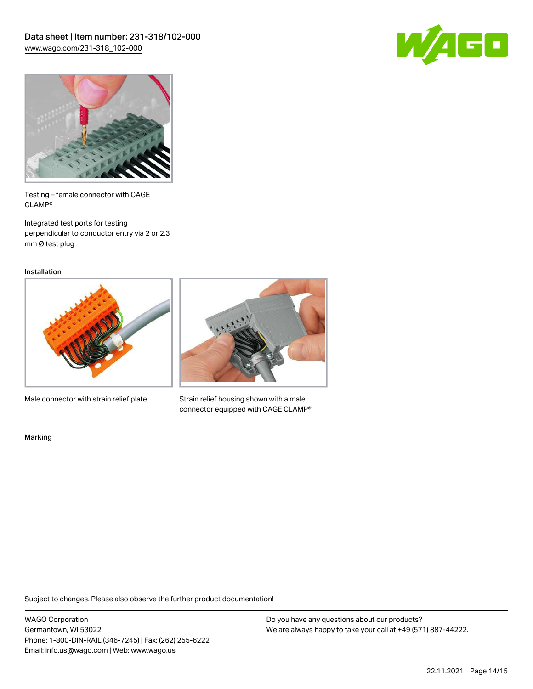



Testing – female connector with CAGE CLAMP®

Integrated test ports for testing perpendicular to conductor entry via 2 or 2.3 mm Ø test plug

Installation



Male connector with strain relief plate



Strain relief housing shown with a male connector equipped with CAGE CLAMP®

Marking

Subject to changes. Please also observe the further product documentation!

WAGO Corporation Germantown, WI 53022 Phone: 1-800-DIN-RAIL (346-7245) | Fax: (262) 255-6222 Email: info.us@wago.com | Web: www.wago.us